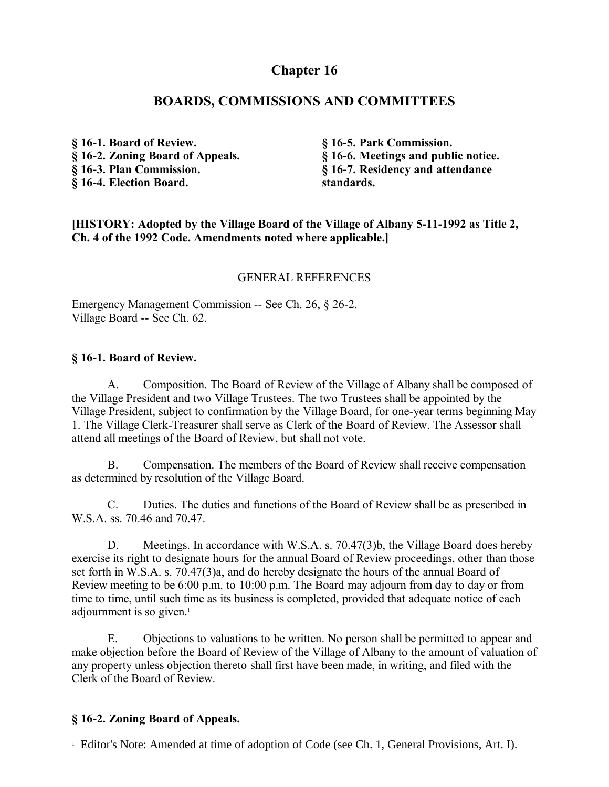# **Chapter 16**

# **BOARDS, COMMISSIONS AND COMMITTEES**

**§ 16-1. Board of Review. § 16-2. Zoning Board of Appeals. § 16-3. Plan Commission. § 16-4. Election Board.**

**§ 16-5. Park Commission. § 16-6. Meetings and public notice. § 16-7. Residency and attendance standards.**

**[HISTORY: Adopted by the Village Board of the Village of Albany 5-11-1992 as Title 2, Ch. 4 of the 1992 Code. Amendments noted where applicable.]**

### GENERAL REFERENCES

Emergency Management Commission -- See Ch. 26, § 26-2. Village Board -- See Ch. 62.

### **§ 16-1. Board of Review.**

A. Composition. The Board of Review of the Village of Albany shall be composed of the Village President and two Village Trustees. The two Trustees shall be appointed by the Village President, subject to confirmation by the Village Board, for one-year terms beginning May 1. The Village Clerk-Treasurer shall serve as Clerk of the Board of Review. The Assessor shall attend all meetings of the Board of Review, but shall not vote.

B. Compensation. The members of the Board of Review shall receive compensation as determined by resolution of the Village Board.

C. Duties. The duties and functions of the Board of Review shall be as prescribed in W.S.A. ss. 70.46 and 70.47.

D. Meetings. In accordance with W.S.A. s. 70.47(3)b, the Village Board does hereby exercise its right to designate hours for the annual Board of Review proceedings, other than those set forth in W.S.A. s. 70.47(3)a, and do hereby designate the hours of the annual Board of Review meeting to be 6:00 p.m. to 10:00 p.m. The Board may adjourn from day to day or from time to time, until such time as its business is completed, provided that adequate notice of each adjournment is so given.<sup>[1](#page-0-0)</sup>

E. Objections to valuations to be written. No person shall be permitted to appear and make objection before the Board of Review of the Village of Albany to the amount of valuation of any property unless objection thereto shall first have been made, in writing, and filed with the Clerk of the Board of Review.

### **§ 16-2. Zoning Board of Appeals.**

<span id="page-0-0"></span><sup>&</sup>lt;sup>1</sup> Editor's Note: Amended at time of adoption of Code (see Ch. 1, General Provisions, Art. I).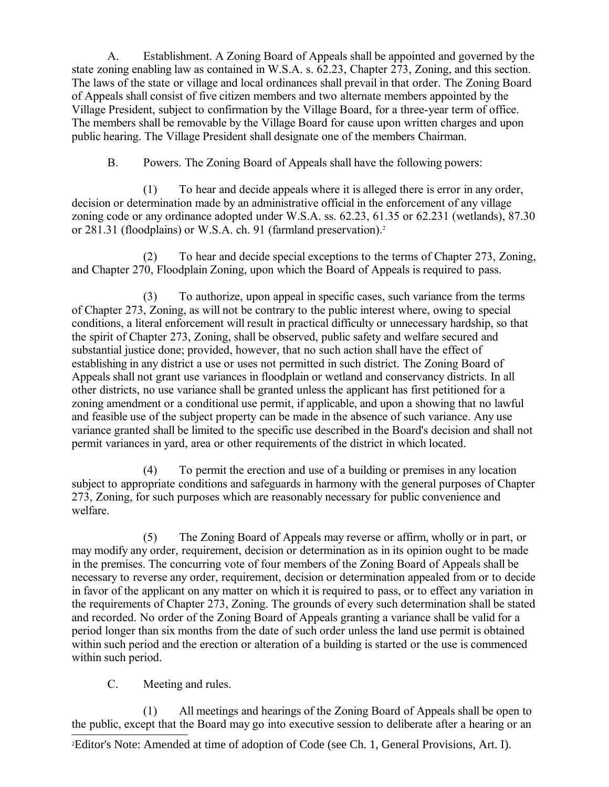A. Establishment. A Zoning Board of Appeals shall be appointed and governed by the state zoning enabling law as contained in W.S.A. s. 62.23, Chapter 273, Zoning, and this section. The laws of the state or village and local ordinances shall prevail in that order. The Zoning Board of Appeals shall consist of five citizen members and two alternate members appointed by the Village President, subject to confirmation by the Village Board, for a three-year term of office. The members shall be removable by the Village Board for cause upon written charges and upon public hearing. The Village President shall designate one of the members Chairman.

B. Powers. The Zoning Board of Appeals shall have the following powers:

(1) To hear and decide appeals where it is alleged there is error in any order, decision or determination made by an administrative official in the enforcement of any village zoning code or any ordinance adopted under W.S.A. ss. 62.23, 61.35 or 62.231 (wetlands), 87.30 or [2](#page-1-0)81.31 (floodplains) or W.S.A. ch. 91 (farmland preservation).<sup>2</sup>

(2) To hear and decide special exceptions to the terms of Chapter 273, Zoning, and Chapter 270, Floodplain Zoning, upon which the Board of Appeals is required to pass.

(3) To authorize, upon appeal in specific cases, such variance from the terms of Chapter 273, Zoning, as will not be contrary to the public interest where, owing to special conditions, a literal enforcement will result in practical difficulty or unnecessary hardship, so that the spirit of Chapter 273, Zoning, shall be observed, public safety and welfare secured and substantial justice done; provided, however, that no such action shall have the effect of establishing in any district a use or uses not permitted in such district. The Zoning Board of Appeals shall not grant use variances in floodplain or wetland and conservancy districts. In all other districts, no use variance shall be granted unless the applicant has first petitioned for a zoning amendment or a conditional use permit, if applicable, and upon a showing that no lawful and feasible use of the subject property can be made in the absence of such variance. Any use variance granted shall be limited to the specific use described in the Board's decision and shall not permit variances in yard, area or other requirements of the district in which located.

(4) To permit the erection and use of a building or premises in any location subject to appropriate conditions and safeguards in harmony with the general purposes of Chapter 273, Zoning, for such purposes which are reasonably necessary for public convenience and welfare.

(5) The Zoning Board of Appeals may reverse or affirm, wholly or in part, or may modify any order, requirement, decision or determination as in its opinion ought to be made in the premises. The concurring vote of four members of the Zoning Board of Appeals shall be necessary to reverse any order, requirement, decision or determination appealed from or to decide in favor of the applicant on any matter on which it is required to pass, or to effect any variation in the requirements of Chapter 273, Zoning. The grounds of every such determination shall be stated and recorded. No order of the Zoning Board of Appeals granting a variance shall be valid for a period longer than six months from the date of such order unless the land use permit is obtained within such period and the erection or alteration of a building is started or the use is commenced within such period.

C. Meeting and rules.

(1) All meetings and hearings of the Zoning Board of Appeals shall be open to the public, except that the Board may go into executive session to deliberate after a hearing or an

<span id="page-1-0"></span>2Editor's Note: Amended at time of adoption of Code (see Ch. 1, General Provisions, Art. I).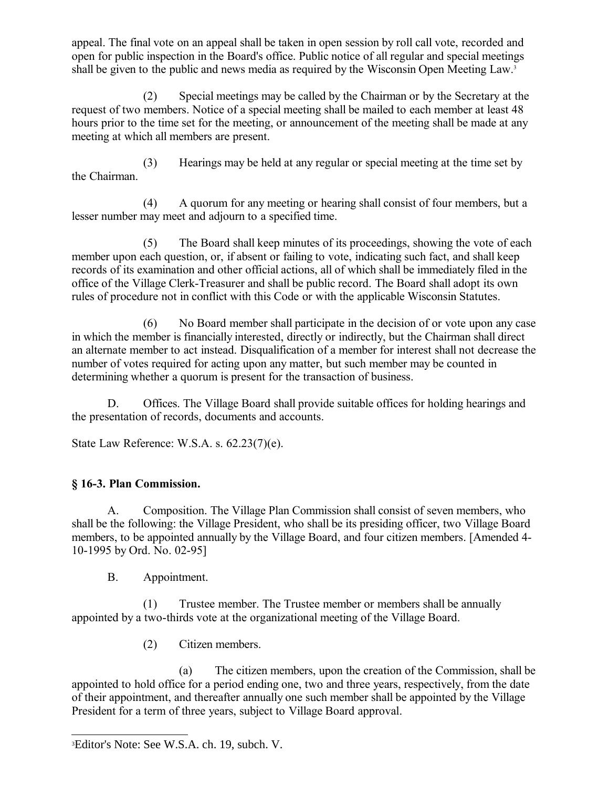appeal. The final vote on an appeal shall be taken in open session by roll call vote, recorded and open for public inspection in the Board's office. Public notice of all regular and special meetings shall be given to the public and news media as required by the Wisconsin Open Meeting Law.<sup>[3](#page-2-0)</sup>

(2) Special meetings may be called by the Chairman or by the Secretary at the request of two members. Notice of a special meeting shall be mailed to each member at least 48 hours prior to the time set for the meeting, or announcement of the meeting shall be made at any meeting at which all members are present.

(3) Hearings may be held at any regular or special meeting at the time set by the Chairman.

(4) A quorum for any meeting or hearing shall consist of four members, but a lesser number may meet and adjourn to a specified time.

(5) The Board shall keep minutes of its proceedings, showing the vote of each member upon each question, or, if absent or failing to vote, indicating such fact, and shall keep records of its examination and other official actions, all of which shall be immediately filed in the office of the Village Clerk-Treasurer and shall be public record. The Board shall adopt its own rules of procedure not in conflict with this Code or with the applicable Wisconsin Statutes.

(6) No Board member shall participate in the decision of or vote upon any case in which the member is financially interested, directly or indirectly, but the Chairman shall direct an alternate member to act instead. Disqualification of a member for interest shall not decrease the number of votes required for acting upon any matter, but such member may be counted in determining whether a quorum is present for the transaction of business.

D. Offices. The Village Board shall provide suitable offices for holding hearings and the presentation of records, documents and accounts.

State Law Reference: W.S.A. s. 62.23(7)(e).

# **§ 16-3. Plan Commission.**

A. Composition. The Village Plan Commission shall consist of seven members, who shall be the following: the Village President, who shall be its presiding officer, two Village Board members, to be appointed annually by the Village Board, and four citizen members. [Amended 4- 10-1995 by Ord. No. 02-95]

B. Appointment.

(1) Trustee member. The Trustee member or members shall be annually appointed by a two-thirds vote at the organizational meeting of the Village Board.

(2) Citizen members.

(a) The citizen members, upon the creation of the Commission, shall be appointed to hold office for a period ending one, two and three years, respectively, from the date of their appointment, and thereafter annually one such member shall be appointed by the Village President for a term of three years, subject to Village Board approval.

<span id="page-2-0"></span><sup>3</sup>Editor's Note: See W.S.A. ch. 19, subch. V.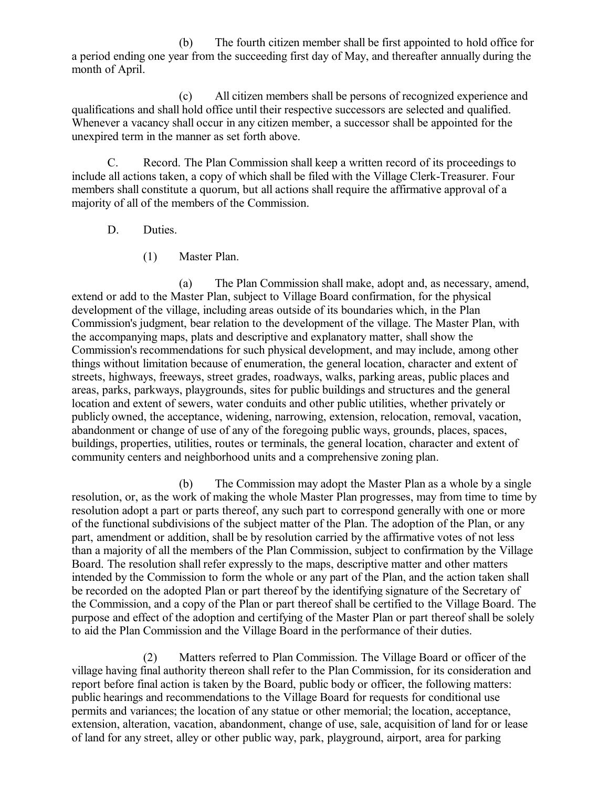(b) The fourth citizen member shall be first appointed to hold office for a period ending one year from the succeeding first day of May, and thereafter annually during the month of April.

(c) All citizen members shall be persons of recognized experience and qualifications and shall hold office until their respective successors are selected and qualified. Whenever a vacancy shall occur in any citizen member, a successor shall be appointed for the unexpired term in the manner as set forth above.

C. Record. The Plan Commission shall keep a written record of its proceedings to include all actions taken, a copy of which shall be filed with the Village Clerk-Treasurer. Four members shall constitute a quorum, but all actions shall require the affirmative approval of a majority of all of the members of the Commission.

### D. Duties.

(1) Master Plan.

(a) The Plan Commission shall make, adopt and, as necessary, amend, extend or add to the Master Plan, subject to Village Board confirmation, for the physical development of the village, including areas outside of its boundaries which, in the Plan Commission's judgment, bear relation to the development of the village. The Master Plan, with the accompanying maps, plats and descriptive and explanatory matter, shall show the Commission's recommendations for such physical development, and may include, among other things without limitation because of enumeration, the general location, character and extent of streets, highways, freeways, street grades, roadways, walks, parking areas, public places and areas, parks, parkways, playgrounds, sites for public buildings and structures and the general location and extent of sewers, water conduits and other public utilities, whether privately or publicly owned, the acceptance, widening, narrowing, extension, relocation, removal, vacation, abandonment or change of use of any of the foregoing public ways, grounds, places, spaces, buildings, properties, utilities, routes or terminals, the general location, character and extent of community centers and neighborhood units and a comprehensive zoning plan.

(b) The Commission may adopt the Master Plan as a whole by a single resolution, or, as the work of making the whole Master Plan progresses, may from time to time by resolution adopt a part or parts thereof, any such part to correspond generally with one or more of the functional subdivisions of the subject matter of the Plan. The adoption of the Plan, or any part, amendment or addition, shall be by resolution carried by the affirmative votes of not less than a majority of all the members of the Plan Commission, subject to confirmation by the Village Board. The resolution shall refer expressly to the maps, descriptive matter and other matters intended by the Commission to form the whole or any part of the Plan, and the action taken shall be recorded on the adopted Plan or part thereof by the identifying signature of the Secretary of the Commission, and a copy of the Plan or part thereof shall be certified to the Village Board. The purpose and effect of the adoption and certifying of the Master Plan or part thereof shall be solely to aid the Plan Commission and the Village Board in the performance of their duties.

(2) Matters referred to Plan Commission. The Village Board or officer of the village having final authority thereon shall refer to the Plan Commission, for its consideration and report before final action is taken by the Board, public body or officer, the following matters: public hearings and recommendations to the Village Board for requests for conditional use permits and variances; the location of any statue or other memorial; the location, acceptance, extension, alteration, vacation, abandonment, change of use, sale, acquisition of land for or lease of land for any street, alley or other public way, park, playground, airport, area for parking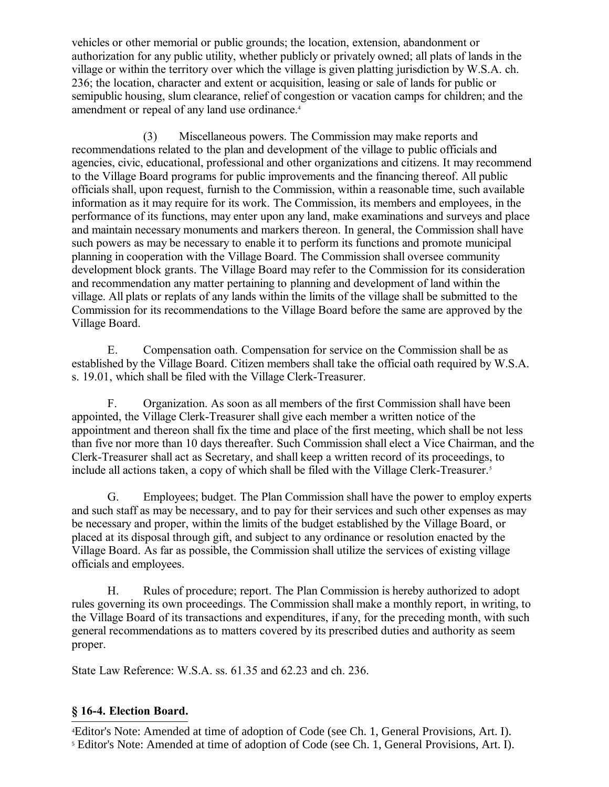vehicles or other memorial or public grounds; the location, extension, abandonment or authorization for any public utility, whether publicly or privately owned; all plats of lands in the village or within the territory over which the village is given platting jurisdiction by W.S.A. ch. 236; the location, character and extent or acquisition, leasing or sale of lands for public or semipublic housing, slum clearance, relief of congestion or vacation camps for children; and the amendment or repeal of any land use ordinance.<sup>[4](#page-4-0)</sup>

(3) Miscellaneous powers. The Commission may make reports and recommendations related to the plan and development of the village to public officials and agencies, civic, educational, professional and other organizations and citizens. It may recommend to the Village Board programs for public improvements and the financing thereof. All public officials shall, upon request, furnish to the Commission, within a reasonable time, such available information as it may require for its work. The Commission, its members and employees, in the performance of its functions, may enter upon any land, make examinations and surveys and place and maintain necessary monuments and markers thereon. In general, the Commission shall have such powers as may be necessary to enable it to perform its functions and promote municipal planning in cooperation with the Village Board. The Commission shall oversee community development block grants. The Village Board may refer to the Commission for its consideration and recommendation any matter pertaining to planning and development of land within the village. All plats or replats of any lands within the limits of the village shall be submitted to the Commission for its recommendations to the Village Board before the same are approved by the Village Board.

E. Compensation oath. Compensation for service on the Commission shall be as established by the Village Board. Citizen members shall take the official oath required by W.S.A. s. 19.01, which shall be filed with the Village Clerk-Treasurer.

F. Organization. As soon as all members of the first Commission shall have been appointed, the Village Clerk-Treasurer shall give each member a written notice of the appointment and thereon shall fix the time and place of the first meeting, which shall be not less than five nor more than 10 days thereafter. Such Commission shall elect a Vice Chairman, and the Clerk-Treasurer shall act as Secretary, and shall keep a written record of its proceedings, to include all actions taken, a copy of which shall be filed with the Village Clerk-Treasurer.<sup>[5](#page-4-1)</sup>

G. Employees; budget. The Plan Commission shall have the power to employ experts and such staff as may be necessary, and to pay for their services and such other expenses as may be necessary and proper, within the limits of the budget established by the Village Board, or placed at its disposal through gift, and subject to any ordinance or resolution enacted by the Village Board. As far as possible, the Commission shall utilize the services of existing village officials and employees.

H. Rules of procedure; report. The Plan Commission is hereby authorized to adopt rules governing its own proceedings. The Commission shall make a monthly report, in writing, to the Village Board of its transactions and expenditures, if any, for the preceding month, with such general recommendations as to matters covered by its prescribed duties and authority as seem proper.

State Law Reference: W.S.A. ss. 61.35 and 62.23 and ch. 236.

### **§ 16-4. Election Board.**

<span id="page-4-1"></span><span id="page-4-0"></span><sup>4</sup>Editor's Note: Amended at time of adoption of Code (see Ch. 1, General Provisions, Art. I). <sup>5</sup> Editor's Note: Amended at time of adoption of Code (see Ch. 1, General Provisions, Art. I).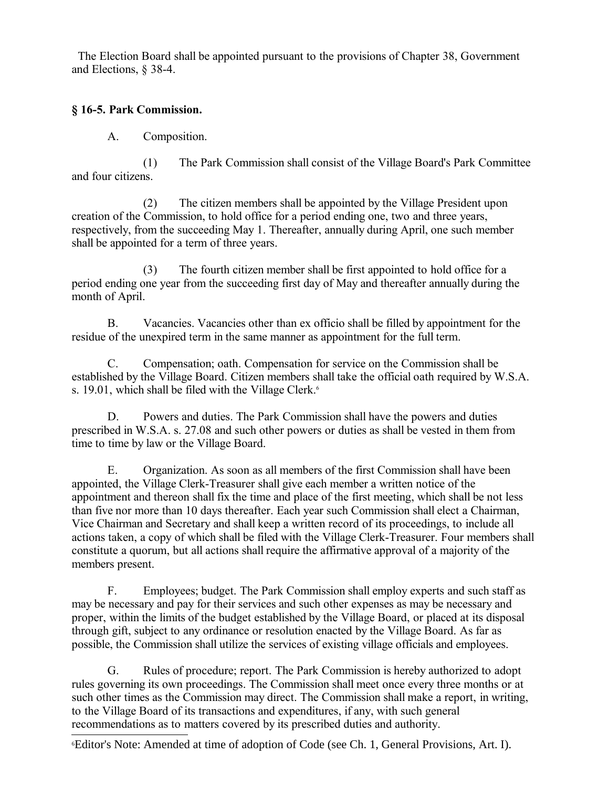The Election Board shall be appointed pursuant to the provisions of Chapter 38, Government and Elections, § 38-4.

# **§ 16-5. Park Commission.**

A. Composition.

(1) The Park Commission shall consist of the Village Board's Park Committee and four citizens.

(2) The citizen members shall be appointed by the Village President upon creation of the Commission, to hold office for a period ending one, two and three years, respectively, from the succeeding May 1. Thereafter, annually during April, one such member shall be appointed for a term of three years.

(3) The fourth citizen member shall be first appointed to hold office for a period ending one year from the succeeding first day of May and thereafter annually during the month of April.

B. Vacancies. Vacancies other than ex officio shall be filled by appointment for the residue of the unexpired term in the same manner as appointment for the full term.

C. Compensation; oath. Compensation for service on the Commission shall be established by the Village Board. Citizen members shall take the official oath required by W.S.A. s. 19.01, which shall be filed with the Village Clerk.<sup>[6](#page-5-0)</sup>

D. Powers and duties. The Park Commission shall have the powers and duties prescribed in W.S.A. s. 27.08 and such other powers or duties as shall be vested in them from time to time by law or the Village Board.

E. Organization. As soon as all members of the first Commission shall have been appointed, the Village Clerk-Treasurer shall give each member a written notice of the appointment and thereon shall fix the time and place of the first meeting, which shall be not less than five nor more than 10 days thereafter. Each year such Commission shall elect a Chairman, Vice Chairman and Secretary and shall keep a written record of its proceedings, to include all actions taken, a copy of which shall be filed with the Village Clerk-Treasurer. Four members shall constitute a quorum, but all actions shall require the affirmative approval of a majority of the members present.

F. Employees; budget. The Park Commission shall employ experts and such staff as may be necessary and pay for their services and such other expenses as may be necessary and proper, within the limits of the budget established by the Village Board, or placed at its disposal through gift, subject to any ordinance or resolution enacted by the Village Board. As far as possible, the Commission shall utilize the services of existing village officials and employees.

G. Rules of procedure; report. The Park Commission is hereby authorized to adopt rules governing its own proceedings. The Commission shall meet once every three months or at such other times as the Commission may direct. The Commission shall make a report, in writing, to the Village Board of its transactions and expenditures, if any, with such general recommendations as to matters covered by its prescribed duties and authority.

<span id="page-5-0"></span>6Editor's Note: Amended at time of adoption of Code (see Ch. 1, General Provisions, Art. I).